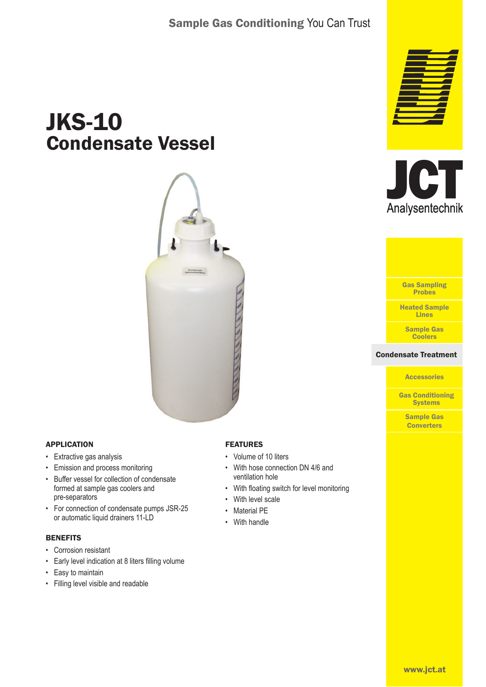# JKS-10 Condensate Vessel



### APPLICATION

- Extractive gas analysis
- Emission and process monitoring
- Buffer vessel for collection of condensate formed at sample gas coolers and pre-separators
- For connection of condensate pumps JSR-25 or automatic liquid drainers 11-LD

#### **BENEFITS**

- Corrosion resistant
- Early level indication at 8 liters filling volume
- Easy to maintain
- Filling level visible and readable

### FEATURES

- Volume of 10 liters
- With hose connection DN 4/6 and ventilation hole
- With floating switch for level monitoring
- With level scale
- **Material PE**
- With handle







# **Accessories**

Gas Conditioning **Systems** 

Sample Gas **Converters**